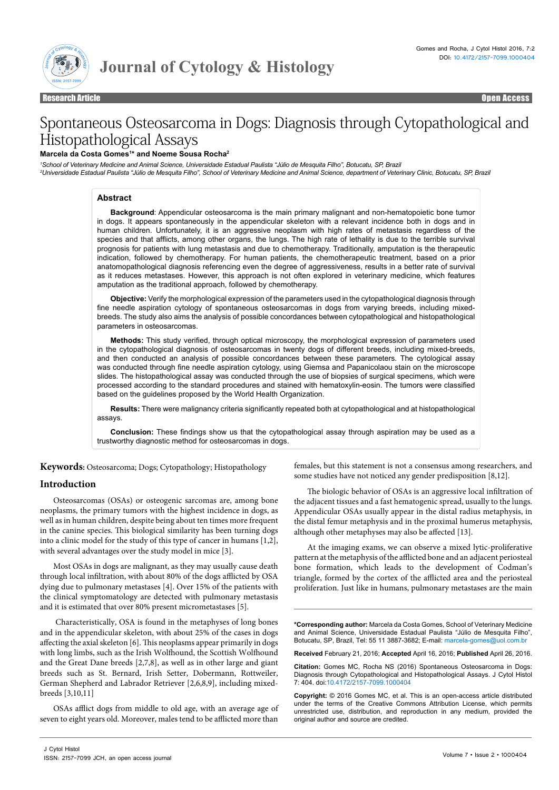

Research Article Open Access Research Article Open Access

# Spontaneous Osteosarcoma in Dogs: Diagnosis through Cytopathological and Histopathological Assays

### **Marcela da Costa Gomes1 \* and Noeme Sousa Rocha2**

*1 School of Veterinary Medicine and Animal Science, Universidade Estadual Paulista "Júlio de Mesquita Filho", Botucatu, SP, Brazil*

*2 Universidade Estadual Paulista "Júlio de Mesquita Filho", School of Veterinary Medicine and Animal Science, department of Veterinary Clinic, Botucatu, SP, Brazil*

# **Abstract**

**Background**: Appendicular osteosarcoma is the main primary malignant and non-hematopoietic bone tumor in dogs. It appears spontaneously in the appendicular skeleton with a relevant incidence both in dogs and in human children. Unfortunately, it is an aggressive neoplasm with high rates of metastasis regardless of the species and that afflicts, among other organs, the lungs. The high rate of lethality is due to the terrible survival prognosis for patients with lung metastasis and due to chemotherapy. Traditionally, amputation is the therapeutic indication, followed by chemotherapy. For human patients, the chemotherapeutic treatment, based on a prior anatomopathological diagnosis referencing even the degree of aggressiveness, results in a better rate of survival as it reduces metastases. However, this approach is not often explored in veterinary medicine, which features amputation as the traditional approach, followed by chemotherapy.

**Objective:** Verify the morphological expression of the parameters used in the cytopathological diagnosis through fine needle aspiration cytology of spontaneous osteosarcomas in dogs from varying breeds, including mixedbreeds. The study also aims the analysis of possible concordances between cytopathological and histopathological parameters in osteosarcomas.

**Methods:** This study verified, through optical microscopy, the morphological expression of parameters used in the cytopathological diagnosis of osteosarcomas in twenty dogs of different breeds, including mixed-breeds, and then conducted an analysis of possible concordances between these parameters. The cytological assay was conducted through fine needle aspiration cytology, using Giemsa and Papanicolaou stain on the microscope slides. The histopathological assay was conducted through the use of biopsies of surgical specimens, which were processed according to the standard procedures and stained with hematoxylin-eosin. The tumors were classified based on the guidelines proposed by the World Health Organization.

**Results:** There were malignancy criteria significantly repeated both at cytopathological and at histopathological assays.

**Conclusion:** These findings show us that the cytopathological assay through aspiration may be used as a trustworthy diagnostic method for osteosarcomas in dogs.

**Keywords:** Osteosarcoma; Dogs; Cytopathology; Histopathology

# **Introduction**

Osteosarcomas (OSAs) or osteogenic sarcomas are, among bone neoplasms, the primary tumors with the highest incidence in dogs, as well as in human children, despite being about ten times more frequent in the canine species. This biological similarity has been turning dogs into a clinic model for the study of this type of cancer in humans [1,2], with several advantages over the study model in mice [3].

Most OSAs in dogs are malignant, as they may usually cause death through local infiltration, with about 80% of the dogs afflicted by OSA dying due to pulmonary metastases [4]. Over 15% of the patients with the clinical symptomatology are detected with pulmonary metastasis and it is estimated that over 80% present micrometastases [5].

 Characteristically, OSA is found in the metaphyses of long bones and in the appendicular skeleton, with about 25% of the cases in dogs affecting the axial skeleton [6]. This neoplasms appear primarily in dogs with long limbs, such as the Irish Wolfhound, the Scottish Wolfhound and the Great Dane breeds [2,7,8], as well as in other large and giant breeds such as St. Bernard, Irish Setter, Dobermann, Rottweiler, German Shepherd and Labrador Retriever [2,6,8,9], including mixedbreeds [3,10,11]

OSAs afflict dogs from middle to old age, with an average age of seven to eight years old. Moreover, males tend to be afflicted more than

females, but this statement is not a consensus among researchers, and some studies have not noticed any gender predisposition [8,12].

The biologic behavior of OSAs is an aggressive local infiltration of the adjacent tissues and a fast hematogenic spread, usually to the lungs. Appendicular OSAs usually appear in the distal radius metaphysis, in the distal femur metaphysis and in the proximal humerus metaphysis, although other metaphyses may also be affected [13].

At the imaging exams, we can observe a mixed lytic-proliferative pattern at the metaphysis of the afflicted bone and an adjacent periosteal bone formation, which leads to the development of Codman's triangle, formed by the cortex of the afflicted area and the periosteal proliferation. Just like in humans, pulmonary metastases are the main

**\*Corresponding author:** Marcela da Costa Gomes, School of Veterinary Medicine and Animal Science, Universidade Estadual Paulista "Júlio de Mesquita Filho", Botucatu, SP, Brazil, Tel: 55 11 3887-3682; E-mail: marcela-gomes@uol.com.br

**Received** February 21, 2016; **Accepted** April 16, 2016; **Published** April 26, 2016.

**Citation:** Gomes MC, Rocha NS (2016) Spontaneous Osteosarcoma in Dogs: Diagnosis through Cytopathological and Histopathological Assays. J Cytol Histol 7: 404. doi:10.4172/2157-7099.1000404

**Copyright:** © 2016 Gomes MC, et al. This is an open-access article distributed under the terms of the Creative Commons Attribution License, which permits unrestricted use, distribution, and reproduction in any medium, provided the original author and source are credited.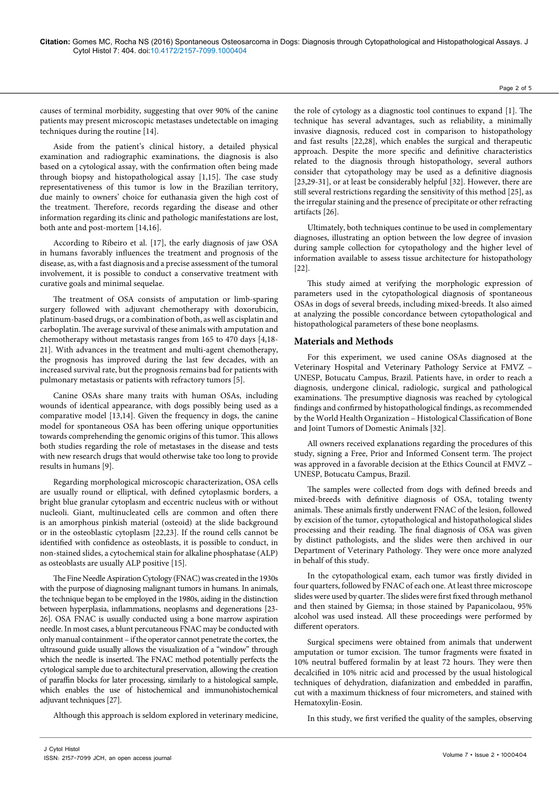causes of terminal morbidity, suggesting that over 90% of the canine patients may present microscopic metastases undetectable on imaging techniques during the routine [14].

Aside from the patient's clinical history, a detailed physical examination and radiographic examinations, the diagnosis is also based on a cytological assay, with the confirmation often being made through biopsy and histopathological assay [1,15]. The case study representativeness of this tumor is low in the Brazilian territory, due mainly to owners' choice for euthanasia given the high cost of the treatment. Therefore, records regarding the disease and other information regarding its clinic and pathologic manifestations are lost, both ante and post-mortem [14,16].

According to Ribeiro et al. [17], the early diagnosis of jaw OSA in humans favorably influences the treatment and prognosis of the disease, as, with a fast diagnosis and a precise assessment of the tumoral involvement, it is possible to conduct a conservative treatment with curative goals and minimal sequelae.

The treatment of OSA consists of amputation or limb-sparing surgery followed with adjuvant chemotherapy with doxorubicin, platinum-based drugs, or a combination of both, as well as cisplatin and carboplatin. The average survival of these animals with amputation and chemotherapy without metastasis ranges from 165 to 470 days [4,18- 21]. With advances in the treatment and multi-agent chemotherapy, the prognosis has improved during the last few decades, with an increased survival rate, but the prognosis remains bad for patients with pulmonary metastasis or patients with refractory tumors [5].

Canine OSAs share many traits with human OSAs, including wounds of identical appearance, with dogs possibly being used as a comparative model [13,14]. Given the frequency in dogs, the canine model for spontaneous OSA has been offering unique opportunities towards comprehending the genomic origins of this tumor. This allows both studies regarding the role of metastases in the disease and tests with new research drugs that would otherwise take too long to provide results in humans [9].

Regarding morphological microscopic characterization, OSA cells are usually round or elliptical, with defined cytoplasmic borders, a bright blue granular cytoplasm and eccentric nucleus with or without nucleoli. Giant, multinucleated cells are common and often there is an amorphous pinkish material (osteoid) at the slide background or in the osteoblastic cytoplasm [22,23]. If the round cells cannot be identified with confidence as osteoblasts, it is possible to conduct, in non-stained slides, a cytochemical stain for alkaline phosphatase (ALP) as osteoblasts are usually ALP positive [15].

The Fine Needle Aspiration Cytology (FNAC) was created in the 1930s with the purpose of diagnosing malignant tumors in humans. In animals, the technique began to be employed in the 1980s, aiding in the distinction between hyperplasia, inflammations, neoplasms and degenerations [23- 26]. OSA FNAC is usually conducted using a bone marrow aspiration needle. In most cases, a blunt percutaneous FNAC may be conducted with only manual containment – if the operator cannot penetrate the cortex, the ultrasound guide usually allows the visualization of a "window" through which the needle is inserted. The FNAC method potentially perfects the cytological sample due to architectural preservation, allowing the creation of paraffin blocks for later processing, similarly to a histological sample, which enables the use of histochemical and immunohistochemical adjuvant techniques [27].

Although this approach is seldom explored in veterinary medicine,

the role of cytology as a diagnostic tool continues to expand [1]. The technique has several advantages, such as reliability, a minimally invasive diagnosis, reduced cost in comparison to histopathology and fast results [22,28], which enables the surgical and therapeutic approach. Despite the more specific and definitive characteristics related to the diagnosis through histopathology, several authors consider that cytopathology may be used as a definitive diagnosis [23,29-31], or at least be considerably helpful [32]. However, there are still several restrictions regarding the sensitivity of this method [25], as the irregular staining and the presence of precipitate or other refracting artifacts [26].

Ultimately, both techniques continue to be used in complementary diagnoses, illustrating an option between the low degree of invasion during sample collection for cytopathology and the higher level of information available to assess tissue architecture for histopathology [22].

This study aimed at verifying the morphologic expression of parameters used in the cytopathological diagnosis of spontaneous OSAs in dogs of several breeds, including mixed-breeds. It also aimed at analyzing the possible concordance between cytopathological and histopathological parameters of these bone neoplasms.

## **Materials and Methods**

For this experiment, we used canine OSAs diagnosed at the Veterinary Hospital and Veterinary Pathology Service at FMVZ – UNESP, Botucatu Campus, Brazil. Patients have, in order to reach a diagnosis, undergone clinical, radiologic, surgical and pathological examinations. The presumptive diagnosis was reached by cytological findings and confirmed by histopathological findings, as recommended by the World Health Organization – Histological Classification of Bone and Joint Tumors of Domestic Animals [32].

All owners received explanations regarding the procedures of this study, signing a Free, Prior and Informed Consent term. The project was approved in a favorable decision at the Ethics Council at FMVZ – UNESP, Botucatu Campus, Brazil.

The samples were collected from dogs with defined breeds and mixed-breeds with definitive diagnosis of OSA, totaling twenty animals. These animals firstly underwent FNAC of the lesion, followed by excision of the tumor, cytopathological and histopathological slides processing and their reading. The final diagnosis of OSA was given by distinct pathologists, and the slides were then archived in our Department of Veterinary Pathology. They were once more analyzed in behalf of this study.

In the cytopathological exam, each tumor was firstly divided in four quarters, followed by FNAC of each one. At least three microscope slides were used by quarter. The slides were first fixed through methanol and then stained by Giemsa; in those stained by Papanicolaou, 95% alcohol was used instead. All these proceedings were performed by different operators.

Surgical specimens were obtained from animals that underwent amputation or tumor excision. The tumor fragments were fixated in 10% neutral buffered formalin by at least 72 hours. They were then decalcified in 10% nitric acid and processed by the usual histological techniques of dehydration, diafanization and embedded in paraffin, cut with a maximum thickness of four micrometers, and stained with Hematoxylin-Eosin.

In this study, we first verified the quality of the samples, observing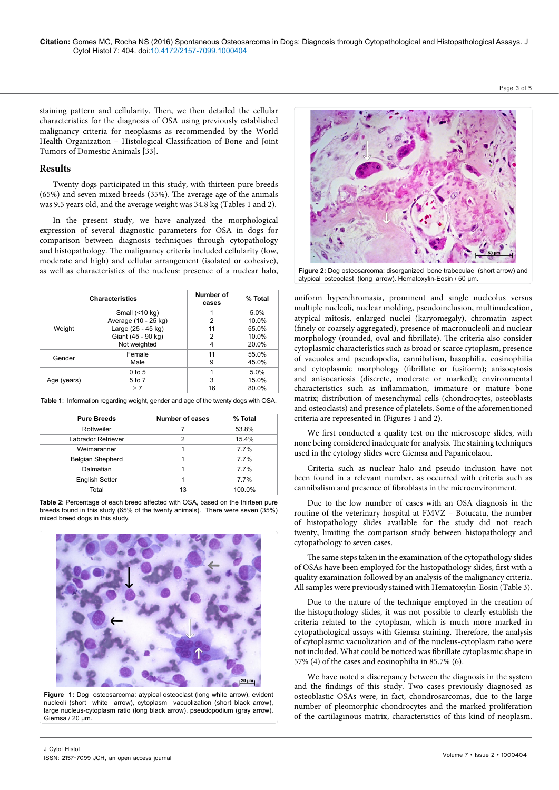Page 3 of 5

staining pattern and cellularity. Then, we then detailed the cellular characteristics for the diagnosis of OSA using previously established malignancy criteria for neoplasms as recommended by the World Health Organization – Histological Classification of Bone and Joint Tumors of Domestic Animals [33].

## **Results**

Twenty dogs participated in this study, with thirteen pure breeds (65%) and seven mixed breeds (35%). The average age of the animals was 9.5 years old, and the average weight was 34.8 kg (Tables 1 and 2).

In the present study, we have analyzed the morphological expression of several diagnostic parameters for OSA in dogs for comparison between diagnosis techniques through cytopathology and histopathology. The malignancy criteria included cellularity (low, moderate and high) and cellular arrangement (isolated or cohesive), as well as characteristics of the nucleus: presence of a nuclear halo,

| <b>Characteristics</b> |                                                                                                          | Number of<br>cases | % Total                                  |
|------------------------|----------------------------------------------------------------------------------------------------------|--------------------|------------------------------------------|
| Weight                 | Small $($ <10 kg $)$<br>Average (10 - 25 kg)<br>Large (25 - 45 kg)<br>Giant (45 - 90 kg)<br>Not weighted | 2<br>11<br>2<br>4  | 5.0%<br>10.0%<br>55.0%<br>10.0%<br>20.0% |
| Gender                 | Female<br>Male                                                                                           | 11<br>9            | 55.0%<br>45.0%                           |
| Age (years)            | $0$ to 5<br>5 to 7<br>$\geq 7$                                                                           | 3<br>16            | 5.0%<br>15.0%<br>80.0%                   |

**Table 1**: Information regarding weight, gender and age of the twenty dogs with OSA.

| <b>Pure Breeds</b>    | <b>Number of cases</b> | % Total |  |
|-----------------------|------------------------|---------|--|
| Rottweiler            |                        | 53.8%   |  |
| Labrador Retriever    | 2                      | 15.4%   |  |
| Weimaranner           |                        | 7.7%    |  |
| Belgian Shepherd      |                        | 7.7%    |  |
| Dalmatian             |                        | 7.7%    |  |
| <b>English Setter</b> |                        | 7.7%    |  |
| Total                 | 13                     | 100.0%  |  |

**Table 2**: Percentage of each breed affected with OSA, based on the thirteen pure breeds found in this study (65% of the twenty animals). There were seven (35%) mixed breed dogs in this study.



**Figure 1:** Dog osteosarcoma: atypical osteoclast (long white arrow), evident nucleoli (short white arrow), cytoplasm vacuolization (short black arrow), large nucleus-cytoplasm ratio (long black arrow), pseudopodium (gray arrow). Giemsa / 20 µm.



**Figure 2:** Dog osteosarcoma: disorganized bone trabeculae (short arrow) and atypical osteoclast (long arrow). Hematoxylin-Eosin / 50 µm.

uniform hyperchromasia, prominent and single nucleolus versus multiple nucleoli, nuclear molding, pseudoinclusion, multinucleation, atypical mitosis, enlarged nuclei (karyomegaly), chromatin aspect (finely or coarsely aggregated), presence of macronucleoli and nuclear morphology (rounded, oval and fibrillate). The criteria also consider cytoplasmic characteristics such as broad or scarce cytoplasm, presence of vacuoles and pseudopodia, cannibalism, basophilia, eosinophilia and cytoplasmic morphology (fibrillate or fusiform); anisocytosis and anisocariosis (discrete, moderate or marked); environmental characteristics such as inflammation, immature or mature bone matrix; distribution of mesenchymal cells (chondrocytes, osteoblasts and osteoclasts) and presence of platelets. Some of the aforementioned criteria are represented in (Figures 1 and 2**)**.

We first conducted a quality test on the microscope slides, with none being considered inadequate for analysis. The staining techniques used in the cytology slides were Giemsa and Papanicolaou.

Criteria such as nuclear halo and pseudo inclusion have not been found in a relevant number, as occurred with criteria such as cannibalism and presence of fibroblasts in the microenvironment.

Due to the low number of cases with an OSA diagnosis in the routine of the veterinary hospital at FMVZ – Botucatu, the number of histopathology slides available for the study did not reach twenty, limiting the comparison study between histopathology and cytopathology to seven cases.

The same steps taken in the examination of the cytopathology slides of OSAs have been employed for the histopathology slides, first with a quality examination followed by an analysis of the malignancy criteria. All samples were previously stained with Hematoxylin-Eosin (Table 3).

Due to the nature of the technique employed in the creation of the histopathology slides, it was not possible to clearly establish the criteria related to the cytoplasm, which is much more marked in cytopathological assays with Giemsa staining. Therefore, the analysis of cytoplasmic vacuolization and of the nucleus-cytoplasm ratio were not included. What could be noticed was fibrillate cytoplasmic shape in 57% (4) of the cases and eosinophilia in 85.7% (6).

We have noted a discrepancy between the diagnosis in the system and the findings of this study. Two cases previously diagnosed as osteoblastic OSAs were, in fact, chondrosarcomas, due to the large number of pleomorphic chondrocytes and the marked proliferation of the cartilaginous matrix, characteristics of this kind of neoplasm.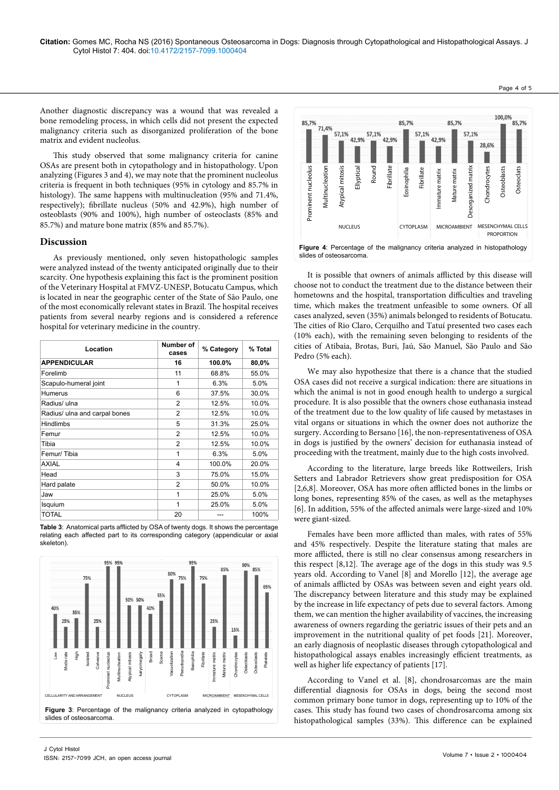Another diagnostic discrepancy was a wound that was revealed a bone remodeling process, in which cells did not present the expected malignancy criteria such as disorganized proliferation of the bone matrix and evident nucleolus.

This study observed that some malignancy criteria for canine OSAs are present both in cytopathology and in histopathology. Upon analyzing (Figures 3 and 4), we may note that the prominent nucleolus criteria is frequent in both techniques (95% in cytology and 85.7% in histology). The same happens with multinucleation (95% and 71.4%, respectively); fibrillate nucleus (50% and 42.9%), high number of osteoblasts (90% and 100%), high number of osteoclasts (85% and 85.7%) and mature bone matrix (85% and 85.7%).

### **Discussion**

J Cytol Histol

ISSN: 2157-7099 JCH, an open access journal

As previously mentioned, only seven histopathologic samples were analyzed instead of the twenty anticipated originally due to their scarcity. One hypothesis explaining this fact is the prominent position of the Veterinary Hospital at FMVZ-UNESP, Botucatu Campus, which is located in near the geographic center of the State of São Paulo, one of the most economically relevant states in Brazil. The hospital receives patients from several nearby regions and is considered a reference hospital for veterinary medicine in the country.

| Location                      | Number of<br>cases | % Category | % Total |
|-------------------------------|--------------------|------------|---------|
| <b>APPENDICULAR</b>           | 16                 | 100.0%     | 80,0%   |
| Forelimb                      | 11                 | 68.8%      | 55.0%   |
| Scapulo-humeral joint         | 1                  | 6.3%       | 5.0%    |
| Humerus                       | 6                  | 37.5%      | 30.0%   |
| Radius/ ulna                  | $\overline{2}$     | 12.5%      | 10.0%   |
| Radius/ ulna and carpal bones | $\overline{2}$     | 12.5%      | 10.0%   |
| <b>Hindlimbs</b>              | 5                  | 31.3%      | 25.0%   |
| Femur                         | $\mathfrak{p}$     | 12.5%      | 10.0%   |
| Tibia                         | $\overline{2}$     | 12.5%      | 10.0%   |
| Femur/Tibia                   | 1                  | 6.3%       | 5.0%    |
| <b>AXIAL</b>                  | $\overline{4}$     | 100.0%     | 20.0%   |
| Head                          | 3                  | 75.0%      | 15.0%   |
| Hard palate                   | $\overline{2}$     | 50.0%      | 10.0%   |
| Jaw                           | 1                  | 25.0%      | 5.0%    |
| Isquium                       | 1                  | 25.0%      | 5.0%    |
| <b>TOTAL</b>                  | 20                 | ---        | 100%    |

**Table 3**: Anatomical parts afflicted by OSA of twenty dogs. It shows the percentage relating each affected part to its corresponding category (appendicular or axial skeleton).





It is possible that owners of animals afflicted by this disease will choose not to conduct the treatment due to the distance between their hometowns and the hospital, transportation difficulties and traveling time, which makes the treatment unfeasible to some owners. Of all cases analyzed, seven (35%) animals belonged to residents of Botucatu. The cities of Rio Claro, Cerquilho and Tatuí presented two cases each (10% each), with the remaining seven belonging to residents of the cities of Atibaia, Brotas, Buri, Jaú, São Manuel, São Paulo and São Pedro (5% each).

We may also hypothesize that there is a chance that the studied OSA cases did not receive a surgical indication: there are situations in which the animal is not in good enough health to undergo a surgical procedure. It is also possible that the owners chose euthanasia instead of the treatment due to the low quality of life caused by metastases in vital organs or situations in which the owner does not authorize the surgery. According to Bersano [16], the non-representativeness of OSA in dogs is justified by the owners' decision for euthanasia instead of proceeding with the treatment, mainly due to the high costs involved.

According to the literature, large breeds like Rottweilers, Irish Setters and Labrador Retrievers show great predisposition for OSA [2,6,8]. Moreover, OSA has more often afflicted bones in the limbs or long bones, representing 85% of the cases, as well as the metaphyses [6]. In addition, 55% of the affected animals were large-sized and 10% were giant-sized.

Females have been more afflicted than males, with rates of 55% and 45% respectively. Despite the literature stating that males are more afflicted, there is still no clear consensus among researchers in this respect [8,12]. The average age of the dogs in this study was 9.5 years old. According to Vanel [8] and Morello [12], the average age of animals afflicted by OSAs was between seven and eight years old. The discrepancy between literature and this study may be explained by the increase in life expectancy of pets due to several factors. Among them, we can mention the higher availability of vaccines, the increasing awareness of owners regarding the geriatric issues of their pets and an improvement in the nutritional quality of pet foods [21]. Moreover, an early diagnosis of neoplastic diseases through cytopathological and histopathological assays enables increasingly efficient treatments, as well as higher life expectancy of patients [17].

According to Vanel et al. [8], chondrosarcomas are the main differential diagnosis for OSAs in dogs, being the second most common primary bone tumor in dogs, representing up to 10% of the cases. This study has found two cases of chondrosarcoma among six histopathological samples (33%). This difference can be explained